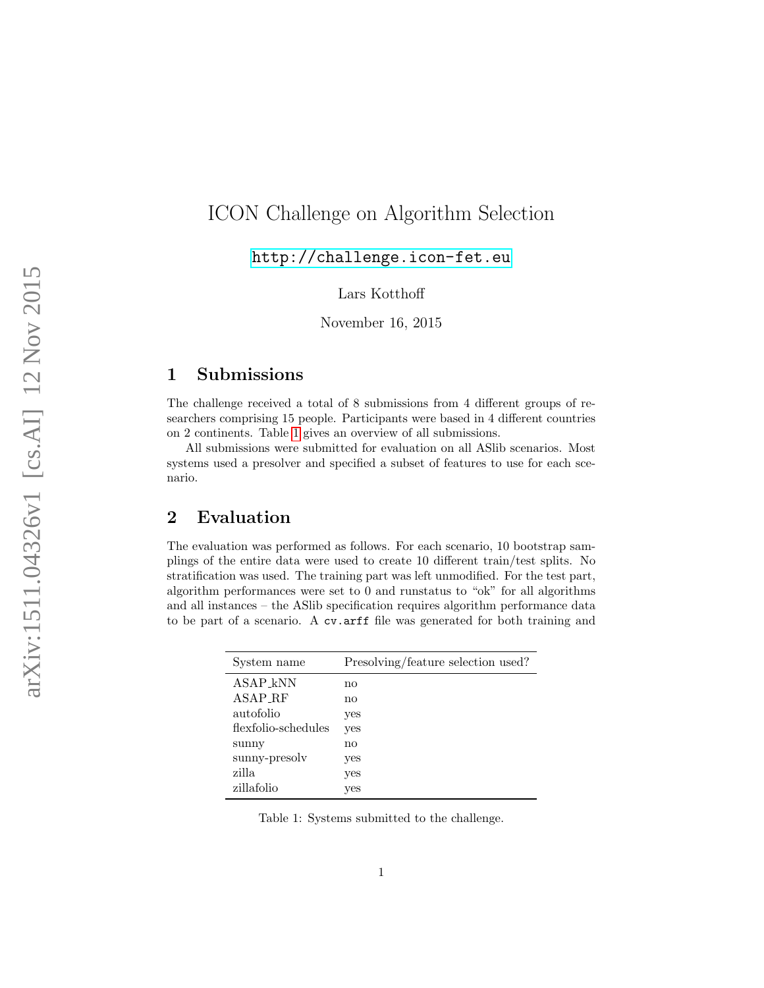# ICON Challenge on Algorithm Selection

<http://challenge.icon-fet.eu>

Lars Kotthoff

November 16, 2015

### 1 Submissions

The challenge received a total of 8 submissions from 4 different groups of researchers comprising 15 people. Participants were based in 4 different countries on 2 continents. Table [1](#page-0-0) gives an overview of all submissions.

All submissions were submitted for evaluation on all ASlib scenarios. Most systems used a presolver and specified a subset of features to use for each scenario.

# 2 Evaluation

The evaluation was performed as follows. For each scenario, 10 bootstrap samplings of the entire data were used to create 10 different train/test splits. No stratification was used. The training part was left unmodified. For the test part, algorithm performances were set to 0 and runstatus to "ok" for all algorithms and all instances – the ASlib specification requires algorithm performance data to be part of a scenario. A cv.arff file was generated for both training and

<span id="page-0-0"></span>

| System name         | Presolving/feature selection used? |
|---------------------|------------------------------------|
| ASAP_kNN            | no                                 |
| ASAP_RF             | no                                 |
| autofolio           | yes                                |
| flexfolio-schedules | yes                                |
| sunny               | no                                 |
| sunny-presolv       | yes                                |
| zilla               | yes                                |
| zillafolio          | yes                                |

Table 1: Systems submitted to the challenge.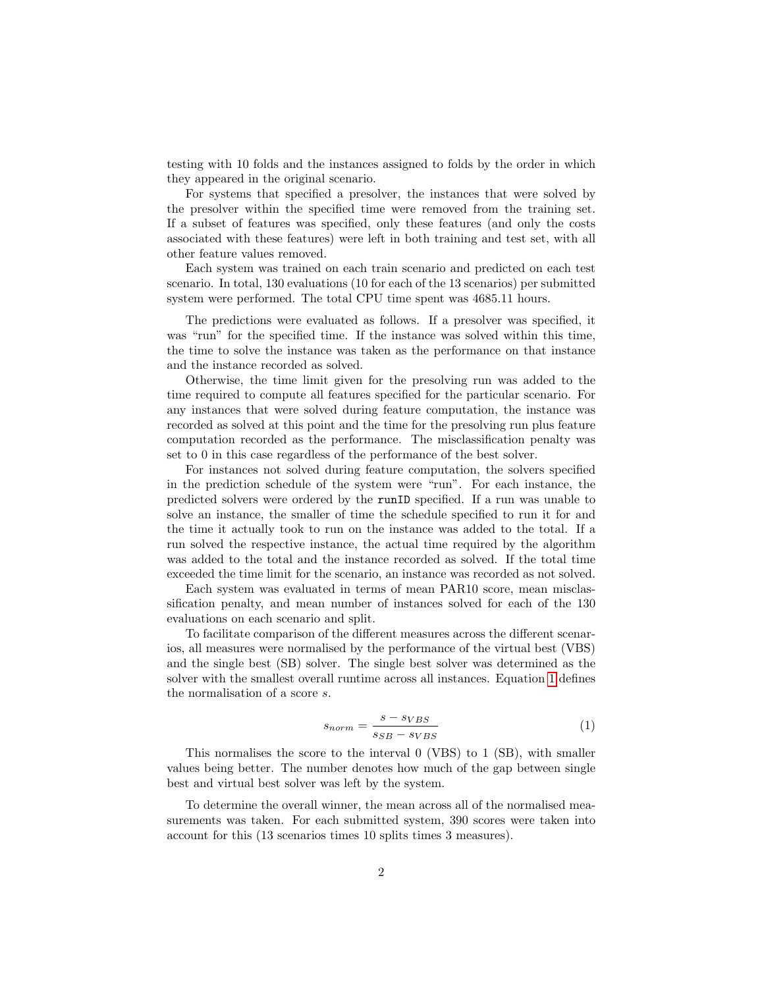testing with 10 folds and the instances assigned to folds by the order in which they appeared in the original scenario.

For systems that specified a presolver, the instances that were solved by the presolver within the specified time were removed from the training set. If a subset of features was specified, only these features (and only the costs associated with these features) were left in both training and test set, with all other feature values removed.

Each system was trained on each train scenario and predicted on each test scenario. In total, 130 evaluations (10 for each of the 13 scenarios) per submitted system were performed. The total CPU time spent was 4685.11 hours.

The predictions were evaluated as follows. If a presolver was specified, it was "run" for the specified time. If the instance was solved within this time, the time to solve the instance was taken as the performance on that instance and the instance recorded as solved.

Otherwise, the time limit given for the presolving run was added to the time required to compute all features specified for the particular scenario. For any instances that were solved during feature computation, the instance was recorded as solved at this point and the time for the presolving run plus feature computation recorded as the performance. The misclassification penalty was set to 0 in this case regardless of the performance of the best solver.

For instances not solved during feature computation, the solvers specified in the prediction schedule of the system were "run". For each instance, the predicted solvers were ordered by the runID specified. If a run was unable to solve an instance, the smaller of time the schedule specified to run it for and the time it actually took to run on the instance was added to the total. If a run solved the respective instance, the actual time required by the algorithm was added to the total and the instance recorded as solved. If the total time exceeded the time limit for the scenario, an instance was recorded as not solved.

Each system was evaluated in terms of mean PAR10 score, mean misclassification penalty, and mean number of instances solved for each of the 130 evaluations on each scenario and split.

To facilitate comparison of the different measures across the different scenarios, all measures were normalised by the performance of the virtual best (VBS) and the single best (SB) solver. The single best solver was determined as the solver with the smallest overall runtime across all instances. Equation [1](#page-1-0) defines the normalisation of a score s.

<span id="page-1-0"></span>
$$
s_{norm} = \frac{s - s_{VBS}}{s_{SB} - s_{VBS}}\tag{1}
$$

This normalises the score to the interval 0 (VBS) to 1 (SB), with smaller values being better. The number denotes how much of the gap between single best and virtual best solver was left by the system.

To determine the overall winner, the mean across all of the normalised measurements was taken. For each submitted system, 390 scores were taken into account for this (13 scenarios times 10 splits times 3 measures).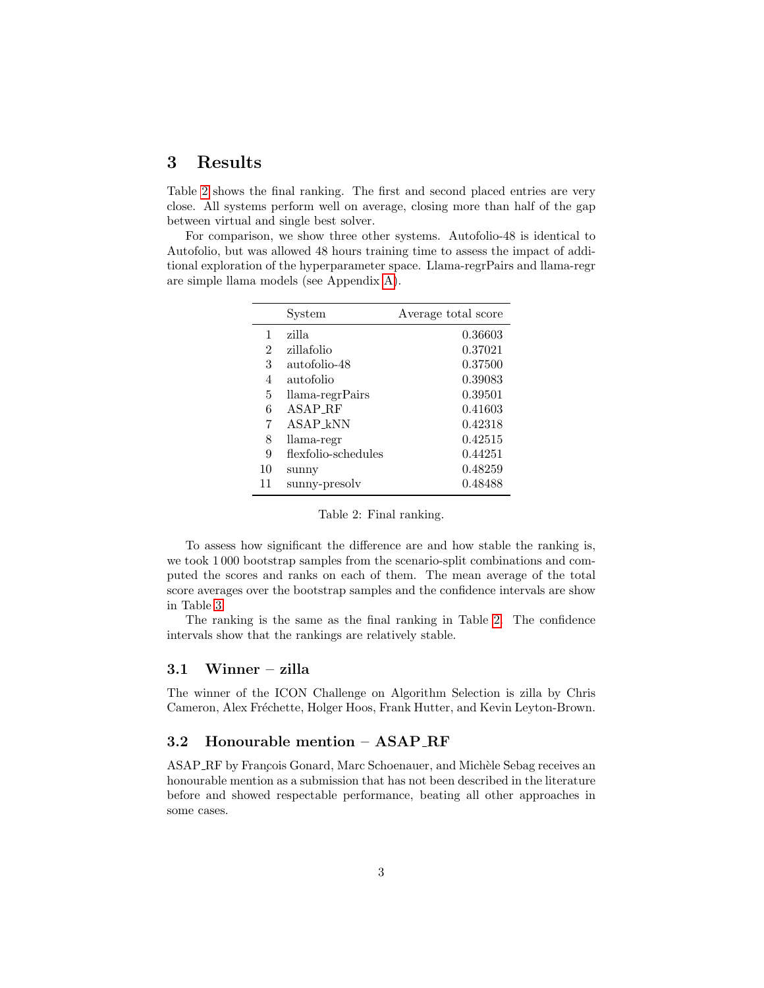### 3 Results

Table [2](#page-2-0) shows the final ranking. The first and second placed entries are very close. All systems perform well on average, closing more than half of the gap between virtual and single best solver.

<span id="page-2-0"></span>For comparison, we show three other systems. Autofolio-48 is identical to Autofolio, but was allowed 48 hours training time to assess the impact of additional exploration of the hyperparameter space. Llama-regrPairs and llama-regr are simple llama models (see Appendix [A\)](#page-11-0).

|                | System              | Average total score |
|----------------|---------------------|---------------------|
| 1              | zilla               | 0.36603             |
| $\overline{2}$ | zillafolio          | 0.37021             |
| 3              | autofolio-48        | 0.37500             |
| 4              | autofolio           | 0.39083             |
| 5              | llama-regrPairs     | 0.39501             |
| 6              | ASAP_RF             | 0.41603             |
| 7              | ASAP_kNN            | 0.42318             |
| 8              | llama-regr          | 0.42515             |
| 9              | flexfolio-schedules | 0.44251             |
| 10             | sunny               | 0.48259             |
| 11             | sunny-presolv       | 0.48488             |

Table 2: Final ranking.

To assess how significant the difference are and how stable the ranking is, we took 1 000 bootstrap samples from the scenario-split combinations and computed the scores and ranks on each of them. The mean average of the total score averages over the bootstrap samples and the confidence intervals are show in Table [3.](#page-3-0)

The ranking is the same as the final ranking in Table [2.](#page-2-0) The confidence intervals show that the rankings are relatively stable.

#### 3.1 Winner – zilla

The winner of the ICON Challenge on Algorithm Selection is zilla by Chris Cameron, Alex Fréchette, Holger Hoos, Frank Hutter, and Kevin Leyton-Brown.

#### 3.2 Honourable mention – ASAP RF

ASAP RF by François Gonard, Marc Schoenauer, and Michèle Sebag receives an honourable mention as a submission that has not been described in the literature before and showed respectable performance, beating all other approaches in some cases.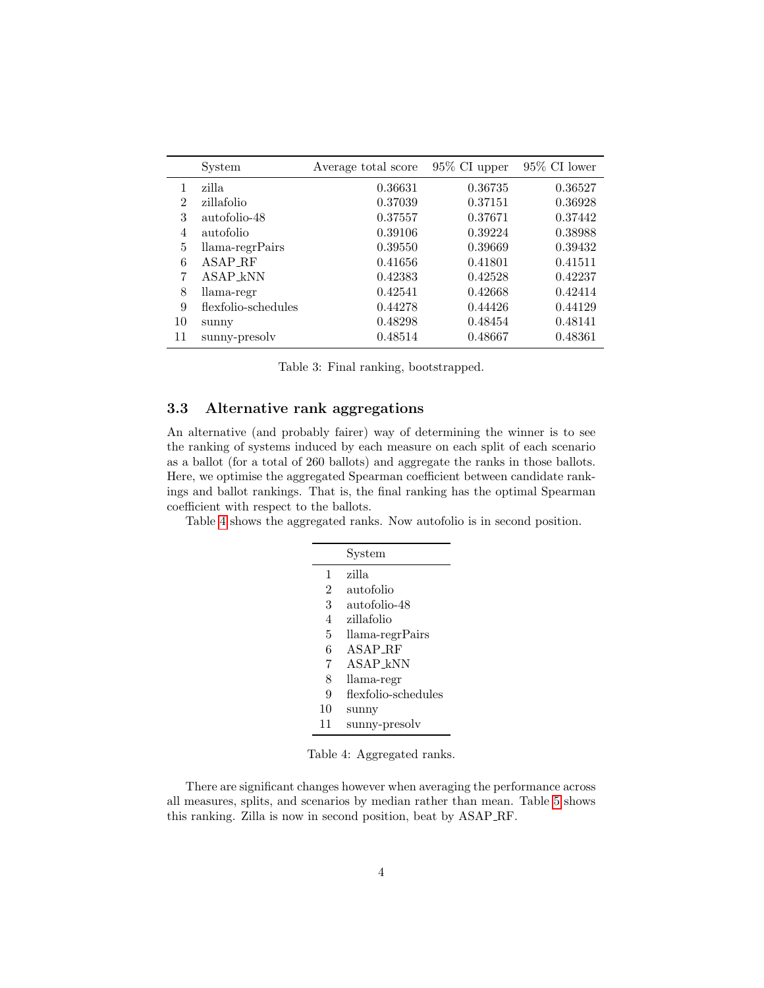<span id="page-3-0"></span>

|    | System                | Average total score | $95\%$ CI upper | $95\%$ CI lower |
|----|-----------------------|---------------------|-----------------|-----------------|
| 1  | zilla                 | 0.36631             | 0.36735         | 0.36527         |
| 2  | zillafolio            | 0.37039             | 0.37151         | 0.36928         |
| 3  | autofolio-48          | 0.37557             | 0.37671         | 0.37442         |
| 4  | autofolio             | 0.39106             | 0.39224         | 0.38988         |
| 5  | $llama-regular Pairs$ | 0.39550             | 0.39669         | 0.39432         |
| 6  | ASAP_RF               | 0.41656             | 0.41801         | 0.41511         |
| 7  | ASAP kNN              | 0.42383             | 0.42528         | 0.42237         |
| 8  | llama-regr            | 0.42541             | 0.42668         | 0.42414         |
| 9  | flexfolio-schedules   | 0.44278             | 0.44426         | 0.44129         |
| 10 | sunny                 | 0.48298             | 0.48454         | 0.48141         |
| 11 | sunny-presolv         | 0.48514             | 0.48667         | 0.48361         |

Table 3: Final ranking, bootstrapped.

#### 3.3 Alternative rank aggregations

An alternative (and probably fairer) way of determining the winner is to see the ranking of systems induced by each measure on each split of each scenario as a ballot (for a total of 260 ballots) and aggregate the ranks in those ballots. Here, we optimise the aggregated Spearman coefficient between candidate rankings and ballot rankings. That is, the final ranking has the optimal Spearman coefficient with respect to the ballots.

<span id="page-3-1"></span>Table [4](#page-3-1) shows the aggregated ranks. Now autofolio is in second position.

|                          | System              |
|--------------------------|---------------------|
| 1                        | zilla               |
| $\overline{2}$           | autofolio           |
| 3                        | autofolio-48        |
| $\overline{\mathcal{A}}$ | zillafolio          |
| 5                        | llama-regrPairs     |
| 6                        | ASAP RF             |
| 7                        | ASAP kNN            |
| 8                        | llama-regr          |
| 9                        | flexfolio-schedules |
| 10                       | sunny               |
| 11                       | sunny-presolv       |

Table 4: Aggregated ranks.

There are significant changes however when averaging the performance across all measures, splits, and scenarios by median rather than mean. Table [5](#page-4-0) shows this ranking. Zilla is now in second position, beat by ASAP RF.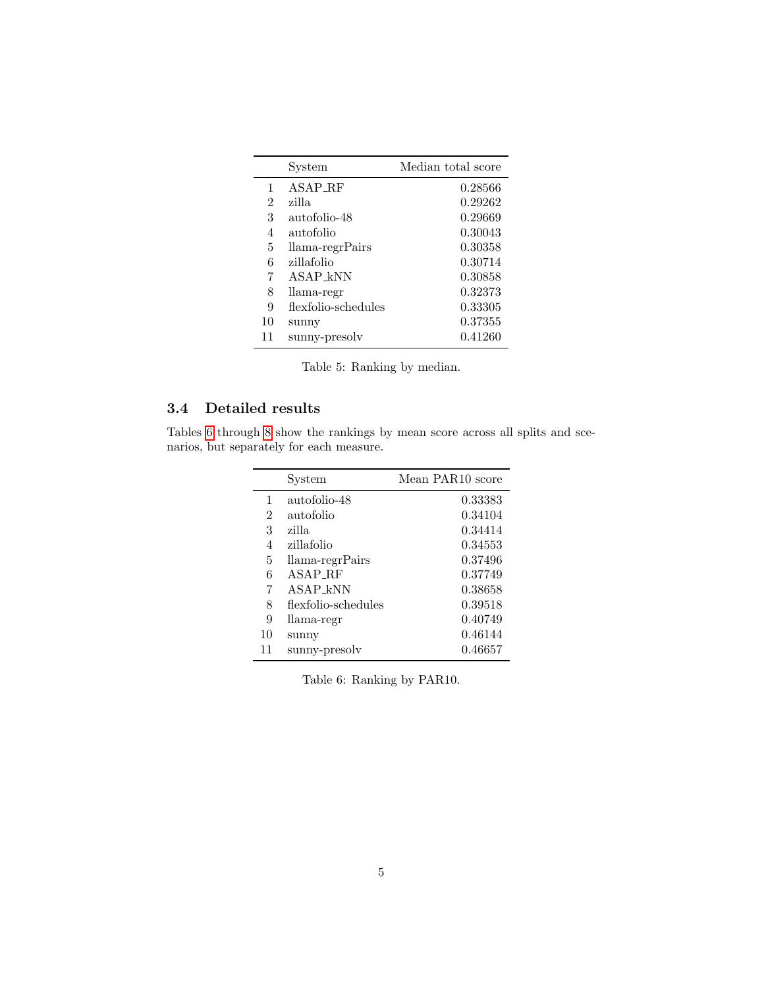<span id="page-4-0"></span>

|    | System              | Median total score |
|----|---------------------|--------------------|
| 1  | ASAP_RF             | 0.28566            |
| 2  | zilla               | 0.29262            |
| 3  | autofolio-48        | 0.29669            |
| 4  | autofolio           | 0.30043            |
| 5  | llama-regrPairs     | 0.30358            |
| 6  | zillafolio          | 0.30714            |
| 7  | ASAP kNN            | 0.30858            |
| 8  | llama-regr          | 0.32373            |
| 9  | flexfolio-schedules | 0.33305            |
| 10 | sunny               | 0.37355            |
| 11 | sunny-presolv       | 0.41260            |
|    |                     |                    |

Table 5: Ranking by median.

### 3.4 Detailed results

<span id="page-4-1"></span>Tables [6](#page-4-1) through [8](#page-5-0) show the rankings by mean score across all splits and scenarios, but separately for each measure.

|                | System              | Mean PAR10 score |
|----------------|---------------------|------------------|
| 1              | autofolio-48        | 0.33383          |
| $\mathfrak{D}$ | autofolio           | 0.34104          |
| 3              | zilla               | 0.34414          |
| 4              | zillafolio          | 0.34553          |
| 5              | llama-regrPairs     | 0.37496          |
| 6              | ASAP <sub>-RF</sub> | 0.37749          |
| 7              | ASAP kNN            | 0.38658          |
| 8              | flexfolio-schedules | 0.39518          |
| 9              | llama-regr          | 0.40749          |
| 10             | sunny               | 0.46144          |
| 11             | sunny-presolv       | 0.46657          |

Table 6: Ranking by PAR10.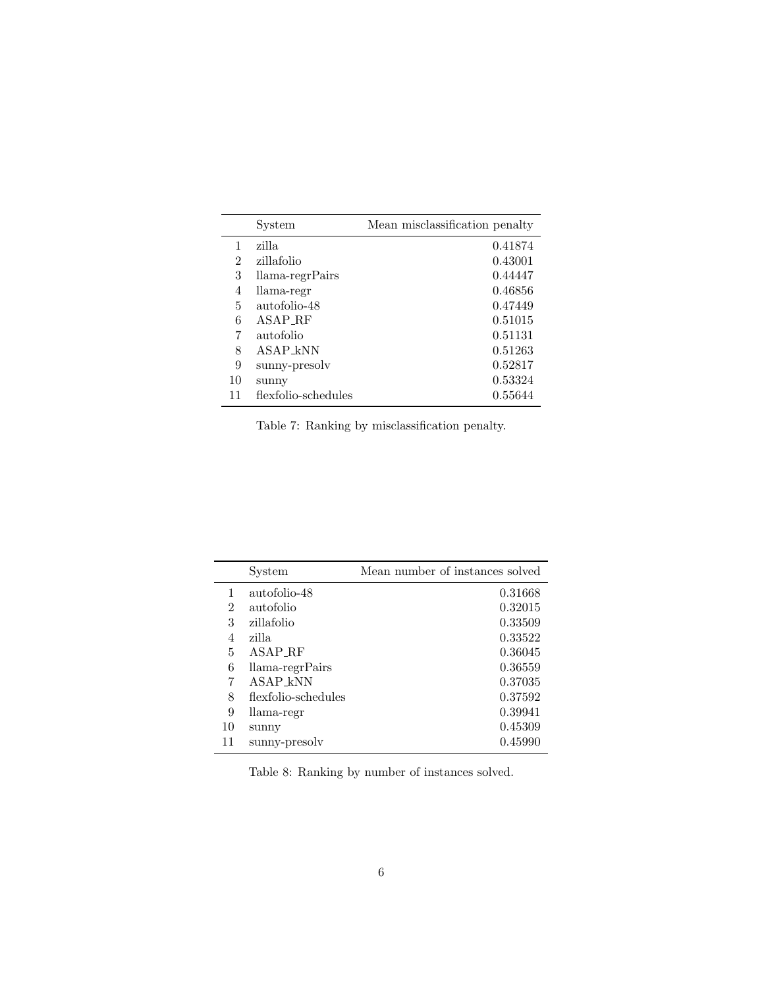|    | System              | Mean misclassification penalty |
|----|---------------------|--------------------------------|
| 1  | zilla               | 0.41874                        |
| 2  | zillafolio          | 0.43001                        |
| 3  | llama-regrPairs     | 0.44447                        |
| 4  | llama-regr          | 0.46856                        |
| 5  | autofolio-48        | 0.47449                        |
| 6  | ASAP RF             | 0.51015                        |
| 7  | autofolio           | 0.51131                        |
| 8  | ASAP_kNN            | 0.51263                        |
| 9  | sunny-presolv       | 0.52817                        |
| 10 | sunny               | 0.53324                        |
| 11 | flexfolio-schedules | 0.55644                        |

Table 7: Ranking by misclassification penalty.

<span id="page-5-0"></span>

|    | System              | Mean number of instances solved |
|----|---------------------|---------------------------------|
| 1  | autofolio-48        | 0.31668                         |
| 2  | autofolio           | 0.32015                         |
| 3  | zillafolio          | 0.33509                         |
| 4  | zilla               | 0.33522                         |
| 5  | ASAP_RF             | 0.36045                         |
| 6  | llama-regrPairs     | 0.36559                         |
| 7  | ASAP kNN            | 0.37035                         |
| 8  | flexfolio-schedules | 0.37592                         |
| 9  | llama-regr          | 0.39941                         |
| 10 | sunny               | 0.45309                         |
| 11 | sunny-presolv       | 0.45990                         |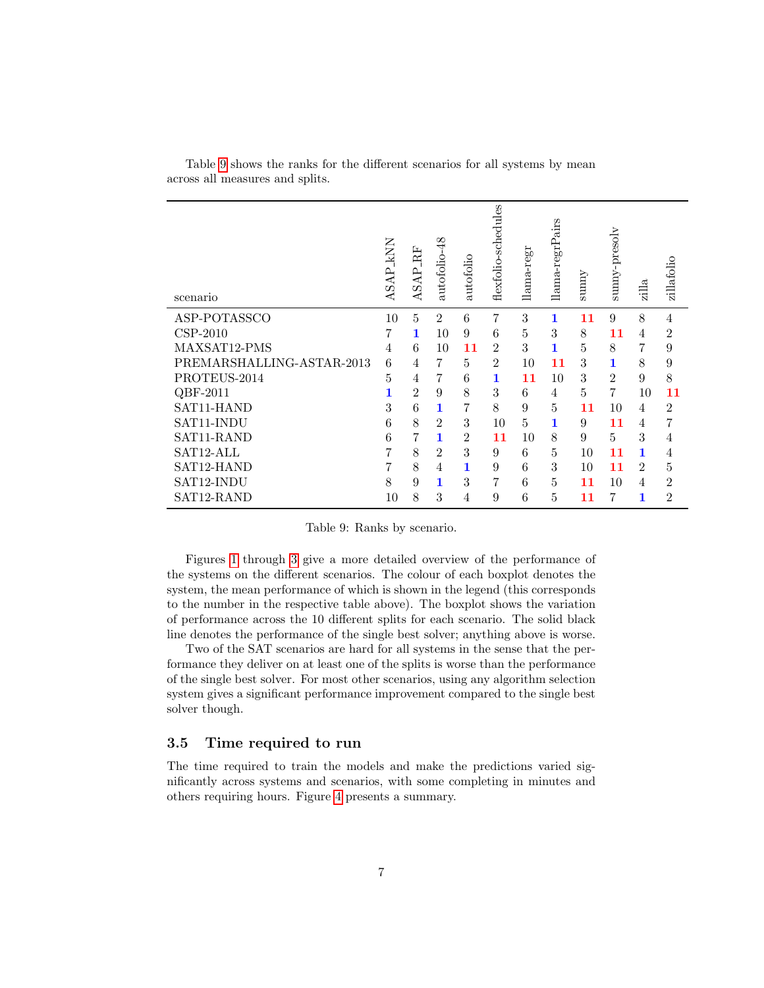<span id="page-6-0"></span>

| scenario                  | <b>ASAP KNN</b> | <b>ASAP RF</b> | autofolio-48   | autofolio      | flexfolio-schedules | llama-regr | llama-regrPairs | Sunny | sunny-presolv | zilla          | zillafolio     |
|---------------------------|-----------------|----------------|----------------|----------------|---------------------|------------|-----------------|-------|---------------|----------------|----------------|
| ASP-POTASSCO              | 10              | 5              | $\mathfrak{D}$ | 6              | 7                   | 3          | 1               | 11    | 9             | 8              | $\overline{4}$ |
| $CSP-2010$                | 7               | 1              | 10             | 9              | 6                   | 5          | 3               | 8     | 11            | 4              | $\overline{2}$ |
| MAXSAT12-PMS              | 4               | 6              | 10             | 11             | 2                   | 3          | 1               | 5     | 8             | 7              | 9              |
| PREMARSHALLING-ASTAR-2013 | 6               | 4              | $\overline{7}$ | 5              | $\overline{2}$      | 10         | 11              | 3     | 1             | 8              | 9              |
| PROTEUS-2014              | 5               | 4              | 7              | 6              | 1                   | 11         | 10              | 3     | 2             | 9              | 8              |
| QBF-2011                  | 1               | $\overline{2}$ | 9              | 8              | 3                   | 6          | $\overline{4}$  | 5     | 7             | 10             | 11             |
| SAT11-HAND                | 3               | 6              | 1              | 7              | 8                   | 9          | 5               | 11    | 10            | 4              | $\overline{2}$ |
| SAT11-INDU                | 6               | 8              | $\overline{2}$ | 3              | 10                  | 5          | 1               | 9     | 11            | 4              | 7              |
| SAT11-RAND                | 6               | 7              | 1              | $\overline{2}$ | 11                  | 10         | 8               | 9     | 5             | 3              | 4              |
| SAT12-ALL                 | $\overline{7}$  | 8              | $\mathfrak{D}$ | 3              | 9                   | 6          | 5               | 10    | 11            | $\mathbf{1}$   | 4              |
| SAT12-HAND                | 7               | 8              | 4              | 1              | 9                   | 6          | 3               | 10    | 11            | $\mathfrak{D}$ | 5              |
| SAT12-INDU                | 8               | 9              | 1              | 3              | 7                   | 6          | 5               | 11    | 10            | 4              | $\overline{2}$ |
| SAT12-RAND                | 10              | 8              | 3              | 4              | 9                   | 6          | 5               | 11    | 7             | 1              | $\overline{2}$ |

Table [9](#page-6-0) shows the ranks for the different scenarios for all systems by mean across all measures and splits.

Table 9: Ranks by scenario.

Figures [1](#page-7-0) through [3](#page-9-0) give a more detailed overview of the performance of the systems on the different scenarios. The colour of each boxplot denotes the system, the mean performance of which is shown in the legend (this corresponds to the number in the respective table above). The boxplot shows the variation of performance across the 10 different splits for each scenario. The solid black line denotes the performance of the single best solver; anything above is worse.

Two of the SAT scenarios are hard for all systems in the sense that the performance they deliver on at least one of the splits is worse than the performance of the single best solver. For most other scenarios, using any algorithm selection system gives a significant performance improvement compared to the single best solver though.

### 3.5 Time required to run

The time required to train the models and make the predictions varied significantly across systems and scenarios, with some completing in minutes and others requiring hours. Figure [4](#page-10-0) presents a summary.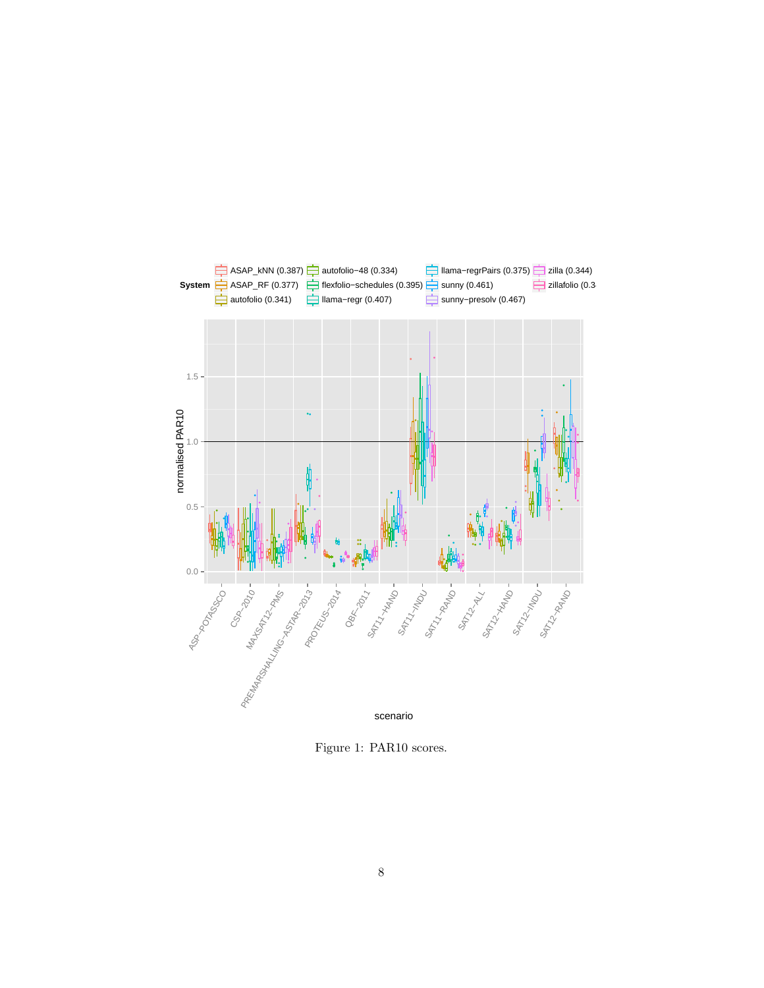<span id="page-7-0"></span>

Figure 1: PAR10 scores.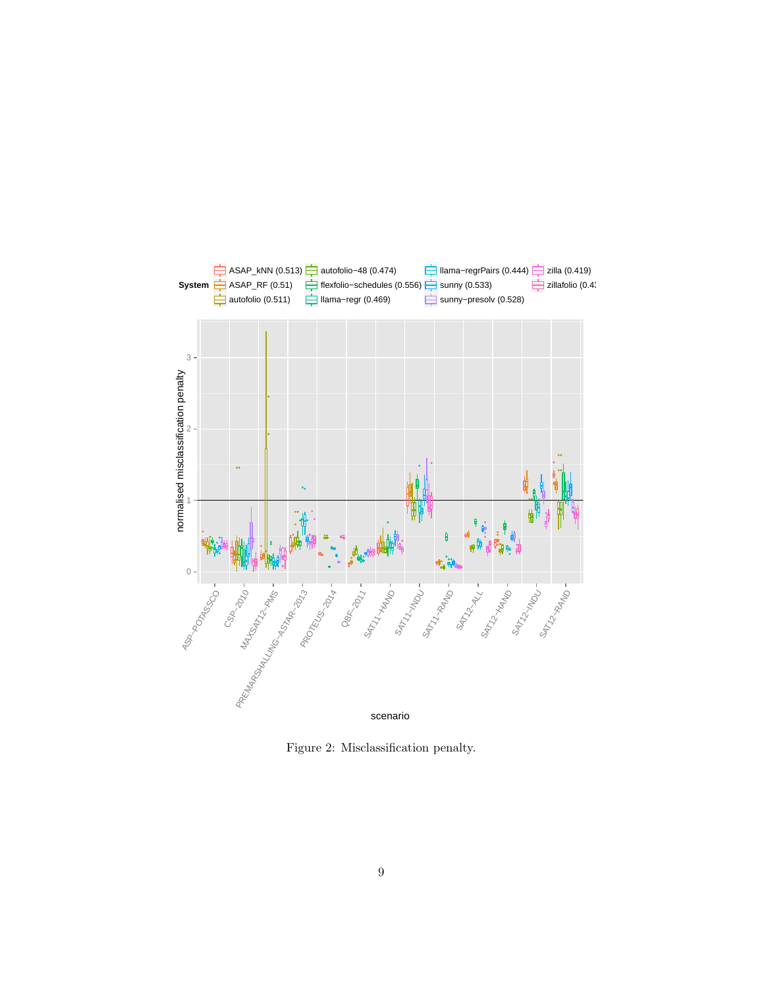

Figure 2: Misclassification penalty.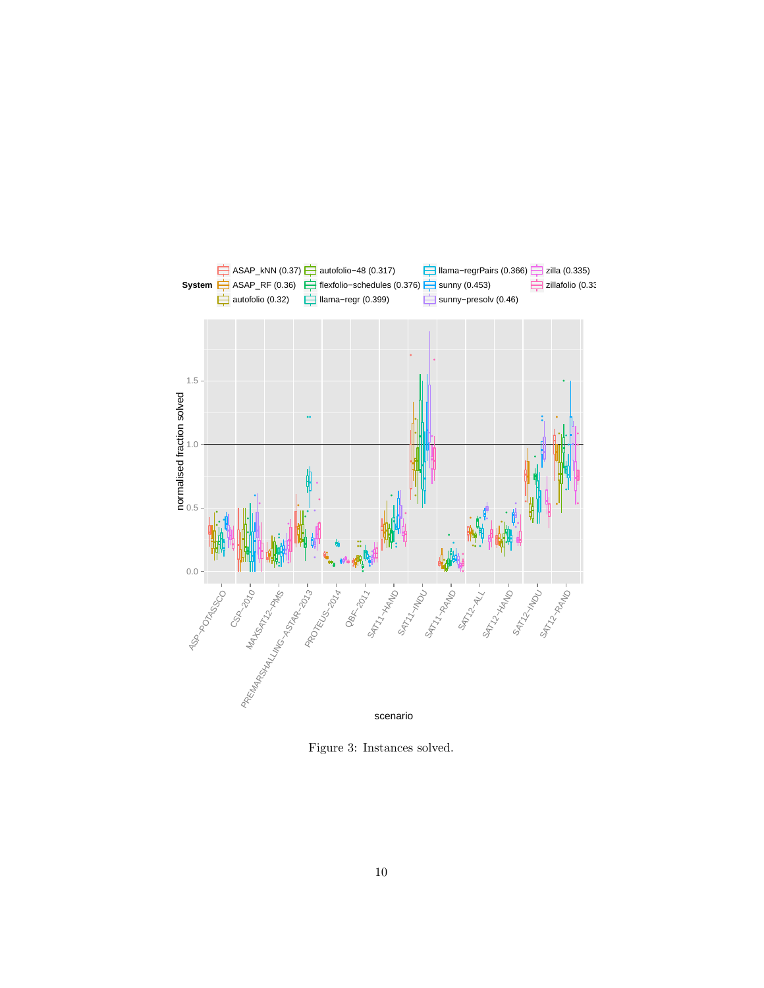<span id="page-9-0"></span>

Figure 3: Instances solved.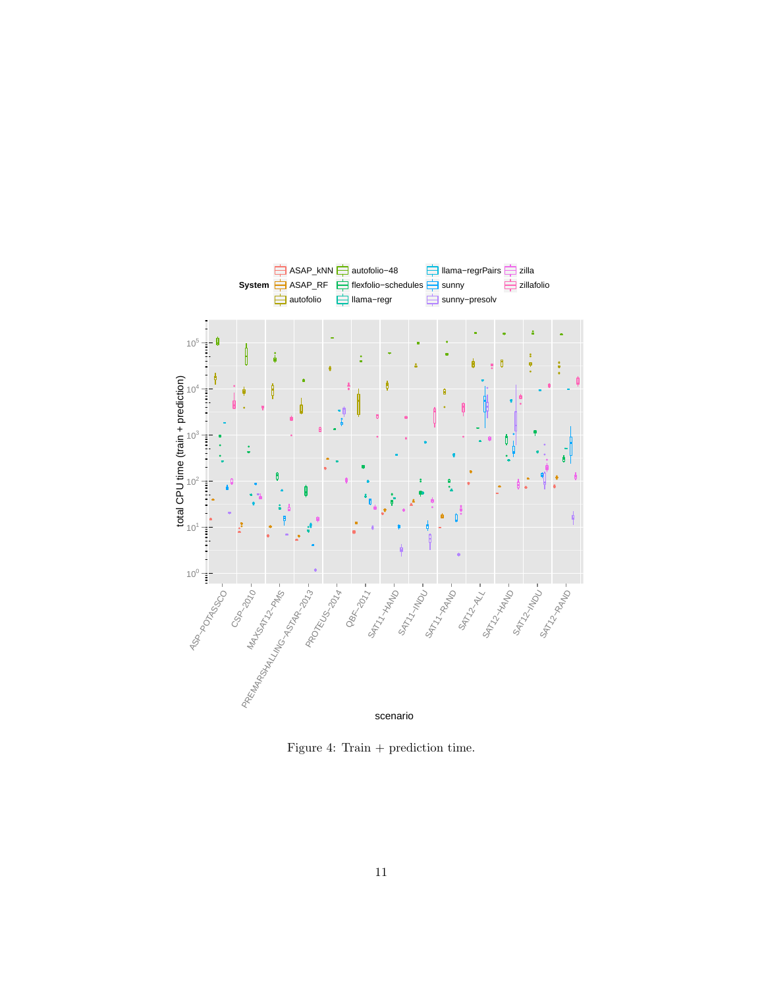<span id="page-10-0"></span>

Figure 4: Train + prediction time.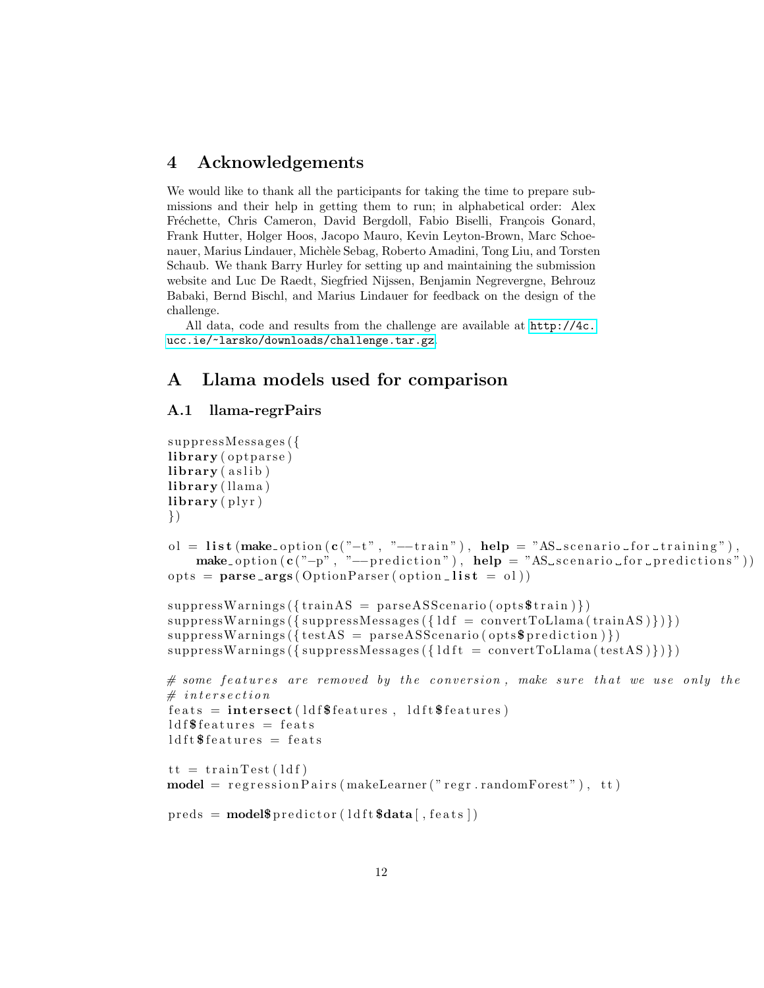### 4 Acknowledgements

We would like to thank all the participants for taking the time to prepare submissions and their help in getting them to run; in alphabetical order: Alex Fréchette, Chris Cameron, David Bergdoll, Fabio Biselli, François Gonard, Frank Hutter, Holger Hoos, Jacopo Mauro, Kevin Leyton-Brown, Marc Schoenauer, Marius Lindauer, Mich`ele Sebag, Roberto Amadini, Tong Liu, and Torsten Schaub. We thank Barry Hurley for setting up and maintaining the submission website and Luc De Raedt, Siegfried Nijssen, Benjamin Negrevergne, Behrouz Babaki, Bernd Bischl, and Marius Lindauer for feedback on the design of the challenge.

All data, code and results from the challenge are available at [http://4c.](http://4c.ucc.ie/~larsko/downloads/challenge.tar.gz) [ucc.ie/~larsko/downloads/challenge.tar.gz](http://4c.ucc.ie/~larsko/downloads/challenge.tar.gz).

### <span id="page-11-0"></span>A Llama models used for comparison

### A.1 llama-regrPairs

```
suppressMessages({
library (optparse)
\mathbf{library} (a \, \mathrm{slib})library (llama)
\mathbf{library} (\text{plyr})})
ol = list (make_option (c("-t", "-train"), help = "AS\_scenario\_for\_training"),make\_option(c("-p", "--prediction"), help = "AS\_scenario\_for\_predictions"))opts = parse_{\text{args}}(OptionParser(option\_list = ol))suppressWarnings({\{trainAS = parseASScenario(opts$train})\})suppressWarnings({sumesMessages({\lbrace Idf = convertTolkama(trainAS) \rbrace})})suppressWarnings({testAS = parseASScenario(opts\$prediction)}suppressWarnings({sumesMessages({left int = convertTollama(testAS) }})# some features are removed by the conversion, make sure that we use only the# intersection
feats = interest (1df features, 1df ft $ features)
ldf features = feats
ldft\ features = feats
tt = trainTest (1 df)model = regressionPairs(makeLearner("regr.randomForest"), tt)\text{preds} = \text{model\$ \text{predictor}} \left( \text{ldft\$data} \right), \text{feats} \right)
```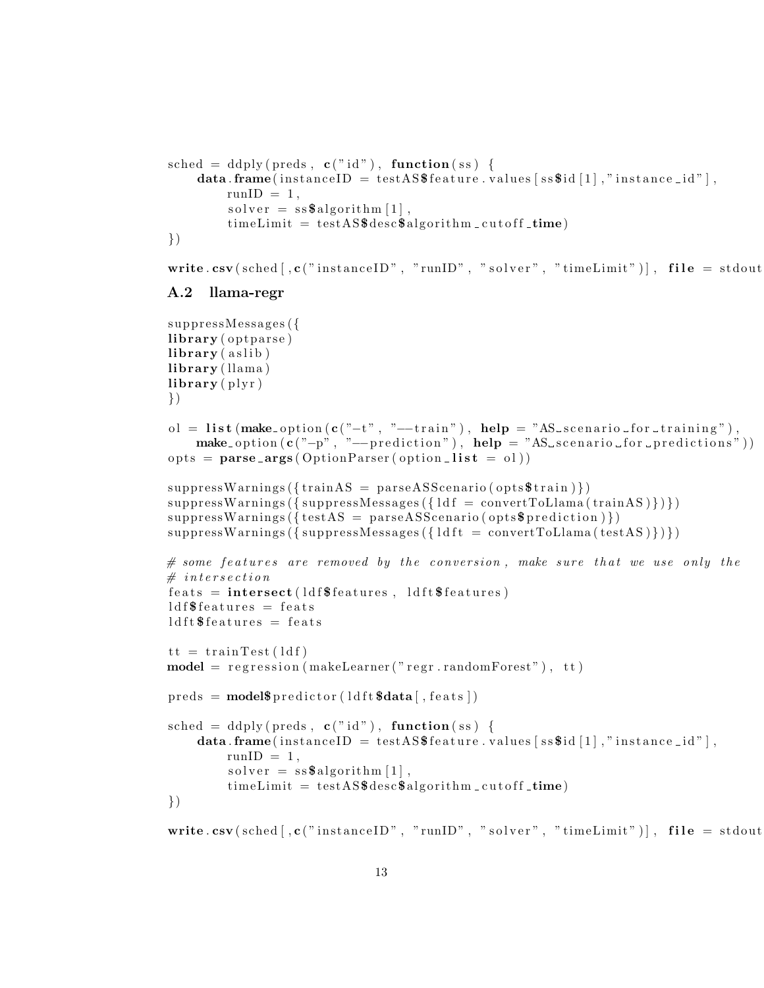```
\text{sched} = \text{ddply}(\text{preds}, \text{ } \mathbf{c}("id"), \text{ function}( \text{ss}) )data . frame(instanceID = testAS$feature . values [ss$id [1], "instance _id"],
          runID = 1,
          solver = ss\algorithm [1],
          timeLimit = testAS\$desc\$algorithms\_cutoff_time)})
```
write  $\text{csv}(\text{sched} \mid \text{, c}(\text{"instanceID", "runID", "solver", "timeLimit"}), \text{ file } = \text{stdout}$ 

#### A.2 llama-regr

```
suppressMessages({
\mathbf{library} (optparse)\mathbf{library} (a \, \mathrm{slib})library (llama)
\mathbf{library} (\text{plyr})})
ol = list (make_option (c("-t", "-train"), help = "AS\_scenario\_for\_training"),make option (c("-p", "—prediction"), help = "AS\_scenario\_for\_prediction"),opts = parse_{\text{args}}(OptionParser(option\_list = ol))suppressWarnings({\{trainAS = parseASScenario(opts$train})\})suppressWarnings({sumesMessages({\lbrace 1df = convertTolkman({trainAS}) \rbrace})})suppressWarnings({testAS = parseASScenario(opts\$prediction)}suppressWarnings({sumesMessages({left int = convertTollama(testAS) }}) )# some features are removed by the conversion, make sure that we use only the# intersection
feats = interest (1df features, 1df features)
ldf f eatures = feats
ldft\ features = feats
tt = trainTest (1 df)model = regression(makeLearner("regr.randomForest"), tt)\text{preds} = \text{model\$ \text{predictor}} \left( \text{ldft\$data} \right), \text{feats} \right)\text{sched} = \text{ddply}(\text{preds}, \text{ } \mathbf{c}("id"), \text{ function}( \text{ss} ) \text{ } \{data . frame(instanceID = testAS$feature . values [ss$id [1], "instance _id"],
          runID = 1,
          solver = ss\algorithm[1],
          timeLimit = testAS\$desc\$algorithms\_cutoff_time)})
```

```
write \text{csv}(\text{sched} \mid \text{, c}(\text{"instanceID", "runID", "solver", "timeLimit"}), \text{ file } = \text{stdout}
```